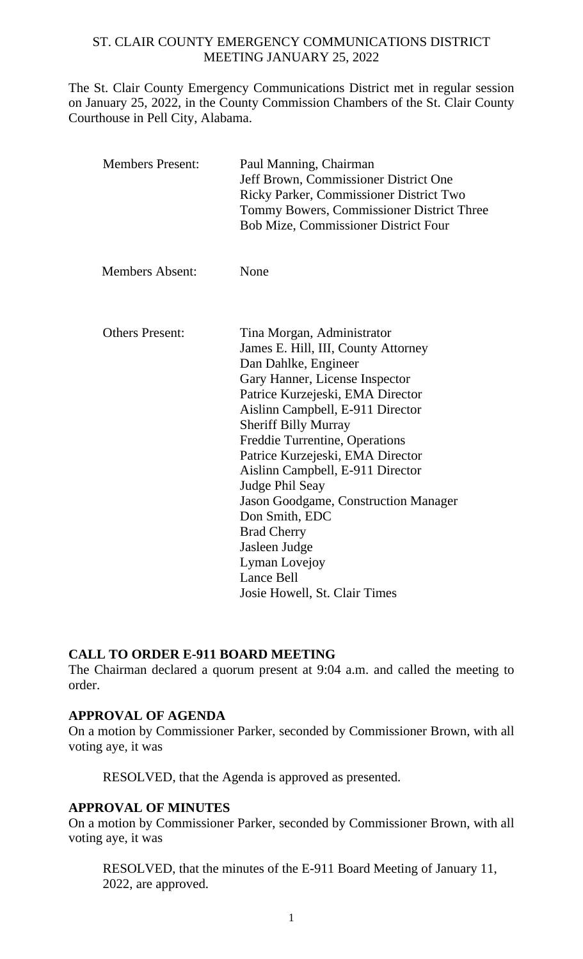#### ST. CLAIR COUNTY EMERGENCY COMMUNICATIONS DISTRICT MEETING JANUARY 25, 2022

The St. Clair County Emergency Communications District met in regular session on January 25, 2022, in the County Commission Chambers of the St. Clair County Courthouse in Pell City, Alabama.

| <b>Members Absent:</b> | None                                                                                                                                                                                                                                                                                                                                                                                                                                                             |
|------------------------|------------------------------------------------------------------------------------------------------------------------------------------------------------------------------------------------------------------------------------------------------------------------------------------------------------------------------------------------------------------------------------------------------------------------------------------------------------------|
| <b>Others Present:</b> | Tina Morgan, Administrator<br>James E. Hill, III, County Attorney<br>Dan Dahlke, Engineer<br>Gary Hanner, License Inspector<br>Patrice Kurzejeski, EMA Director<br>Aislinn Campbell, E-911 Director<br><b>Sheriff Billy Murray</b><br>Freddie Turrentine, Operations<br>Patrice Kurzejeski, EMA Director<br>Aislinn Campbell, E-911 Director<br>Judge Phil Seay<br>Jason Goodgame, Construction Manager<br>Don Smith, EDC<br><b>Brad Cherry</b><br>Jasleen Judge |
|                        | Lyman Lovejoy<br><b>Lance Bell</b><br>Josie Howell, St. Clair Times                                                                                                                                                                                                                                                                                                                                                                                              |

#### **CALL TO ORDER E-911 BOARD MEETING**

The Chairman declared a quorum present at 9:04 a.m. and called the meeting to order.

#### **APPROVAL OF AGENDA**

On a motion by Commissioner Parker, seconded by Commissioner Brown, with all voting aye, it was

RESOLVED, that the Agenda is approved as presented.

#### **APPROVAL OF MINUTES**

On a motion by Commissioner Parker, seconded by Commissioner Brown, with all voting aye, it was

RESOLVED, that the minutes of the E-911 Board Meeting of January 11, 2022, are approved.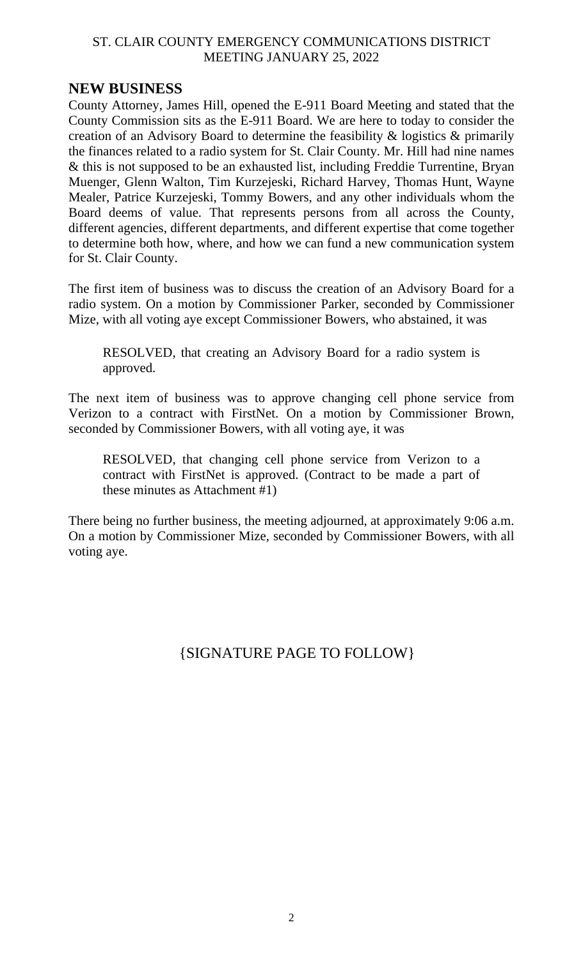#### ST. CLAIR COUNTY EMERGENCY COMMUNICATIONS DISTRICT MEETING JANUARY 25, 2022

## **NEW BUSINESS**

County Attorney, James Hill, opened the E-911 Board Meeting and stated that the County Commission sits as the E-911 Board. We are here to today to consider the creation of an Advisory Board to determine the feasibility & logistics & primarily the finances related to a radio system for St. Clair County. Mr. Hill had nine names & this is not supposed to be an exhausted list, including Freddie Turrentine, Bryan Muenger, Glenn Walton, Tim Kurzejeski, Richard Harvey, Thomas Hunt, Wayne Mealer, Patrice Kurzejeski, Tommy Bowers, and any other individuals whom the Board deems of value. That represents persons from all across the County, different agencies, different departments, and different expertise that come together to determine both how, where, and how we can fund a new communication system for St. Clair County.

The first item of business was to discuss the creation of an Advisory Board for a radio system. On a motion by Commissioner Parker, seconded by Commissioner Mize, with all voting aye except Commissioner Bowers, who abstained, it was

RESOLVED, that creating an Advisory Board for a radio system is approved.

The next item of business was to approve changing cell phone service from Verizon to a contract with FirstNet. On a motion by Commissioner Brown, seconded by Commissioner Bowers, with all voting aye, it was

RESOLVED, that changing cell phone service from Verizon to a contract with FirstNet is approved. (Contract to be made a part of these minutes as Attachment #1)

There being no further business, the meeting adjourned, at approximately 9:06 a.m. On a motion by Commissioner Mize, seconded by Commissioner Bowers, with all voting aye.

# {SIGNATURE PAGE TO FOLLOW}